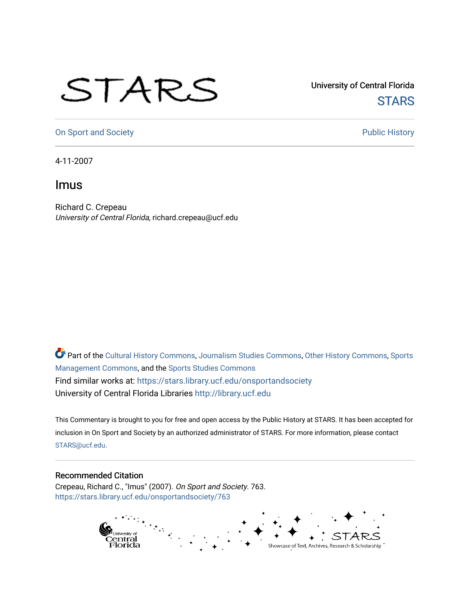## STARS

University of Central Florida **STARS** 

[On Sport and Society](https://stars.library.ucf.edu/onsportandsociety) **Public History** Public History

4-11-2007

## Imus

Richard C. Crepeau University of Central Florida, richard.crepeau@ucf.edu

Part of the [Cultural History Commons](http://network.bepress.com/hgg/discipline/496?utm_source=stars.library.ucf.edu%2Fonsportandsociety%2F763&utm_medium=PDF&utm_campaign=PDFCoverPages), [Journalism Studies Commons,](http://network.bepress.com/hgg/discipline/333?utm_source=stars.library.ucf.edu%2Fonsportandsociety%2F763&utm_medium=PDF&utm_campaign=PDFCoverPages) [Other History Commons,](http://network.bepress.com/hgg/discipline/508?utm_source=stars.library.ucf.edu%2Fonsportandsociety%2F763&utm_medium=PDF&utm_campaign=PDFCoverPages) [Sports](http://network.bepress.com/hgg/discipline/1193?utm_source=stars.library.ucf.edu%2Fonsportandsociety%2F763&utm_medium=PDF&utm_campaign=PDFCoverPages) [Management Commons](http://network.bepress.com/hgg/discipline/1193?utm_source=stars.library.ucf.edu%2Fonsportandsociety%2F763&utm_medium=PDF&utm_campaign=PDFCoverPages), and the [Sports Studies Commons](http://network.bepress.com/hgg/discipline/1198?utm_source=stars.library.ucf.edu%2Fonsportandsociety%2F763&utm_medium=PDF&utm_campaign=PDFCoverPages) Find similar works at: <https://stars.library.ucf.edu/onsportandsociety> University of Central Florida Libraries [http://library.ucf.edu](http://library.ucf.edu/) 

This Commentary is brought to you for free and open access by the Public History at STARS. It has been accepted for inclusion in On Sport and Society by an authorized administrator of STARS. For more information, please contact [STARS@ucf.edu](mailto:STARS@ucf.edu).

## Recommended Citation

Crepeau, Richard C., "Imus" (2007). On Sport and Society. 763. [https://stars.library.ucf.edu/onsportandsociety/763](https://stars.library.ucf.edu/onsportandsociety/763?utm_source=stars.library.ucf.edu%2Fonsportandsociety%2F763&utm_medium=PDF&utm_campaign=PDFCoverPages)

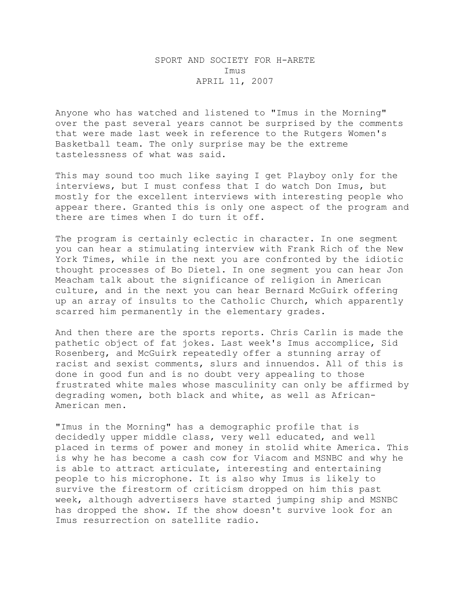## SPORT AND SOCIETY FOR H-ARETE Imus APRIL 11, 2007

Anyone who has watched and listened to "Imus in the Morning" over the past several years cannot be surprised by the comments that were made last week in reference to the Rutgers Women's Basketball team. The only surprise may be the extreme tastelessness of what was said.

This may sound too much like saying I get Playboy only for the interviews, but I must confess that I do watch Don Imus, but mostly for the excellent interviews with interesting people who appear there. Granted this is only one aspect of the program and there are times when I do turn it off.

The program is certainly eclectic in character. In one segment you can hear a stimulating interview with Frank Rich of the New York Times, while in the next you are confronted by the idiotic thought processes of Bo Dietel. In one segment you can hear Jon Meacham talk about the significance of religion in American culture, and in the next you can hear Bernard McGuirk offering up an array of insults to the Catholic Church, which apparently scarred him permanently in the elementary grades.

And then there are the sports reports. Chris Carlin is made the pathetic object of fat jokes. Last week's Imus accomplice, Sid Rosenberg, and McGuirk repeatedly offer a stunning array of racist and sexist comments, slurs and innuendos. All of this is done in good fun and is no doubt very appealing to those frustrated white males whose masculinity can only be affirmed by degrading women, both black and white, as well as African-American men.

"Imus in the Morning" has a demographic profile that is decidedly upper middle class, very well educated, and well placed in terms of power and money in stolid white America. This is why he has become a cash cow for Viacom and MSNBC and why he is able to attract articulate, interesting and entertaining people to his microphone. It is also why Imus is likely to survive the firestorm of criticism dropped on him this past week, although advertisers have started jumping ship and MSNBC has dropped the show. If the show doesn't survive look for an Imus resurrection on satellite radio.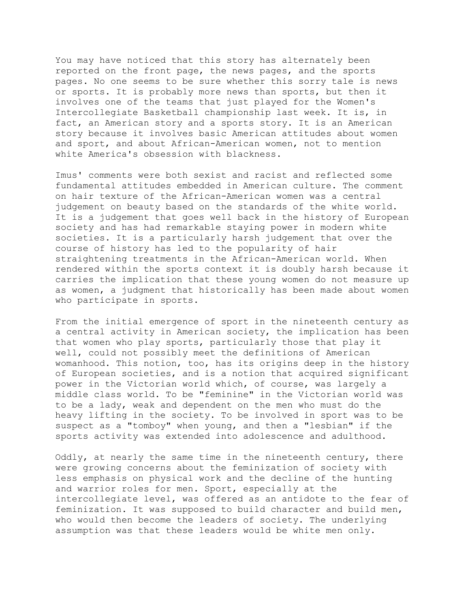You may have noticed that this story has alternately been reported on the front page, the news pages, and the sports pages. No one seems to be sure whether this sorry tale is news or sports. It is probably more news than sports, but then it involves one of the teams that just played for the Women's Intercollegiate Basketball championship last week. It is, in fact, an American story and a sports story. It is an American story because it involves basic American attitudes about women and sport, and about African-American women, not to mention white America's obsession with blackness.

Imus' comments were both sexist and racist and reflected some fundamental attitudes embedded in American culture. The comment on hair texture of the African-American women was a central judgement on beauty based on the standards of the white world. It is a judgement that goes well back in the history of European society and has had remarkable staying power in modern white societies. It is a particularly harsh judgement that over the course of history has led to the popularity of hair straightening treatments in the African-American world. When rendered within the sports context it is doubly harsh because it carries the implication that these young women do not measure up as women, a judgment that historically has been made about women who participate in sports.

From the initial emergence of sport in the nineteenth century as a central activity in American society, the implication has been that women who play sports, particularly those that play it well, could not possibly meet the definitions of American womanhood. This notion, too, has its origins deep in the history of European societies, and is a notion that acquired significant power in the Victorian world which, of course, was largely a middle class world. To be "feminine" in the Victorian world was to be a lady, weak and dependent on the men who must do the heavy lifting in the society. To be involved in sport was to be suspect as a "tomboy" when young, and then a "lesbian" if the sports activity was extended into adolescence and adulthood.

Oddly, at nearly the same time in the nineteenth century, there were growing concerns about the feminization of society with less emphasis on physical work and the decline of the hunting and warrior roles for men. Sport, especially at the intercollegiate level, was offered as an antidote to the fear of feminization. It was supposed to build character and build men, who would then become the leaders of society. The underlying assumption was that these leaders would be white men only.